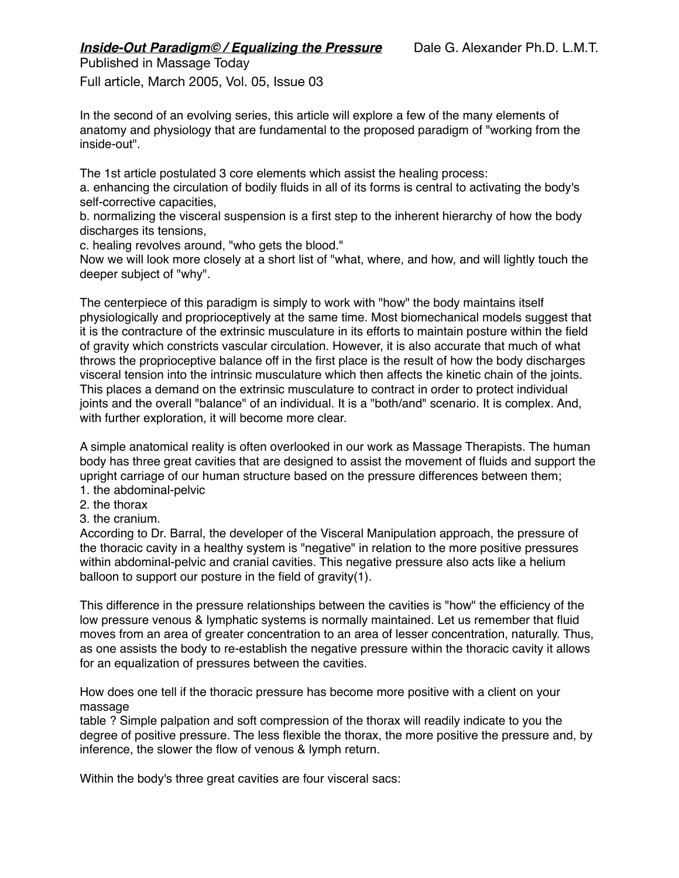Full article, March 2005, Vol. 05, Issue 03

In the second of an evolving series, this article will explore a few of the many elements of anatomy and physiology that are fundamental to the proposed paradigm of "working from the inside-out".

The 1st article postulated 3 core elements which assist the healing process:

a. enhancing the circulation of bodily fluids in all of its forms is central to activating the body's self-corrective capacities,

b. normalizing the visceral suspension is a first step to the inherent hierarchy of how the body discharges its tensions,

c. healing revolves around, "who gets the blood."

Now we will look more closely at a short list of "what, where, and how, and will lightly touch the deeper subject of "why".

The centerpiece of this paradigm is simply to work with "how" the body maintains itself physiologically and proprioceptively at the same time. Most biomechanical models suggest that it is the contracture of the extrinsic musculature in its efforts to maintain posture within the field of gravity which constricts vascular circulation. However, it is also accurate that much of what throws the proprioceptive balance off in the first place is the result of how the body discharges visceral tension into the intrinsic musculature which then affects the kinetic chain of the joints. This places a demand on the extrinsic musculature to contract in order to protect individual joints and the overall "balance" of an individual. It is a "both/and" scenario. It is complex. And, with further exploration, it will become more clear.

A simple anatomical reality is often overlooked in our work as Massage Therapists. The human body has three great cavities that are designed to assist the movement of fluids and support the upright carriage of our human structure based on the pressure differences between them; 1. the abdominal-pelvic

- 2. the thorax
- 3. the cranium.

According to Dr. Barral, the developer of the Visceral Manipulation approach, the pressure of the thoracic cavity in a healthy system is "negative" in relation to the more positive pressures within abdominal-pelvic and cranial cavities. This negative pressure also acts like a helium balloon to support our posture in the field of gravity(1).

This difference in the pressure relationships between the cavities is "how" the efficiency of the low pressure venous & lymphatic systems is normally maintained. Let us remember that fluid moves from an area of greater concentration to an area of lesser concentration, naturally. Thus, as one assists the body to re-establish the negative pressure within the thoracic cavity it allows for an equalization of pressures between the cavities.

How does one tell if the thoracic pressure has become more positive with a client on your massage

table ? Simple palpation and soft compression of the thorax will readily indicate to you the degree of positive pressure. The less flexible the thorax, the more positive the pressure and, by inference, the slower the flow of venous & lymph return.

Within the body's three great cavities are four visceral sacs: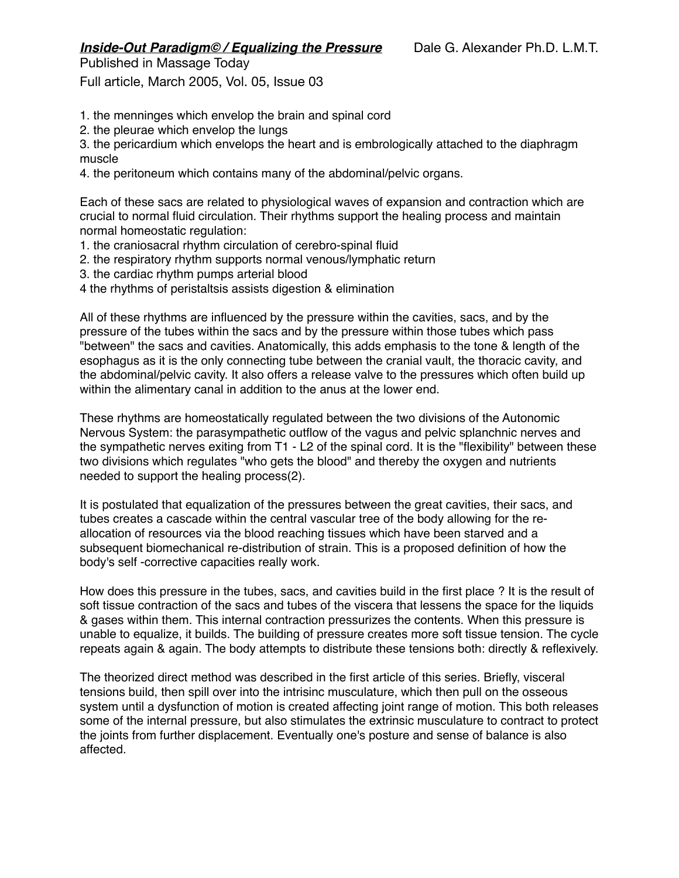## *Inside-Out Paradigm© / Equalizing the Pressure* Dale G. Alexander Ph.D. L.M.T. Published in Massage Today

Full article, March 2005, Vol. 05, Issue 03

- 1. the menninges which envelop the brain and spinal cord
- 2. the pleurae which envelop the lungs

3. the pericardium which envelops the heart and is embrologically attached to the diaphragm muscle

4. the peritoneum which contains many of the abdominal/pelvic organs.

Each of these sacs are related to physiological waves of expansion and contraction which are crucial to normal fluid circulation. Their rhythms support the healing process and maintain normal homeostatic regulation:

- 1. the craniosacral rhythm circulation of cerebro-spinal fluid
- 2. the respiratory rhythm supports normal venous/lymphatic return
- 3. the cardiac rhythm pumps arterial blood
- 4 the rhythms of peristaltsis assists digestion & elimination

All of these rhythms are influenced by the pressure within the cavities, sacs, and by the pressure of the tubes within the sacs and by the pressure within those tubes which pass "between" the sacs and cavities. Anatomically, this adds emphasis to the tone & length of the esophagus as it is the only connecting tube between the cranial vault, the thoracic cavity, and the abdominal/pelvic cavity. It also offers a release valve to the pressures which often build up within the alimentary canal in addition to the anus at the lower end.

These rhythms are homeostatically regulated between the two divisions of the Autonomic Nervous System: the parasympathetic outflow of the vagus and pelvic splanchnic nerves and the sympathetic nerves exiting from T1 - L2 of the spinal cord. It is the "flexibility" between these two divisions which regulates "who gets the blood" and thereby the oxygen and nutrients needed to support the healing process(2).

It is postulated that equalization of the pressures between the great cavities, their sacs, and tubes creates a cascade within the central vascular tree of the body allowing for the reallocation of resources via the blood reaching tissues which have been starved and a subsequent biomechanical re-distribution of strain. This is a proposed definition of how the body's self -corrective capacities really work.

How does this pressure in the tubes, sacs, and cavities build in the first place ? It is the result of soft tissue contraction of the sacs and tubes of the viscera that lessens the space for the liquids & gases within them. This internal contraction pressurizes the contents. When this pressure is unable to equalize, it builds. The building of pressure creates more soft tissue tension. The cycle repeats again & again. The body attempts to distribute these tensions both: directly & reflexively.

The theorized direct method was described in the first article of this series. Briefly, visceral tensions build, then spill over into the intrisinc musculature, which then pull on the osseous system until a dysfunction of motion is created affecting joint range of motion. This both releases some of the internal pressure, but also stimulates the extrinsic musculature to contract to protect the joints from further displacement. Eventually one's posture and sense of balance is also affected.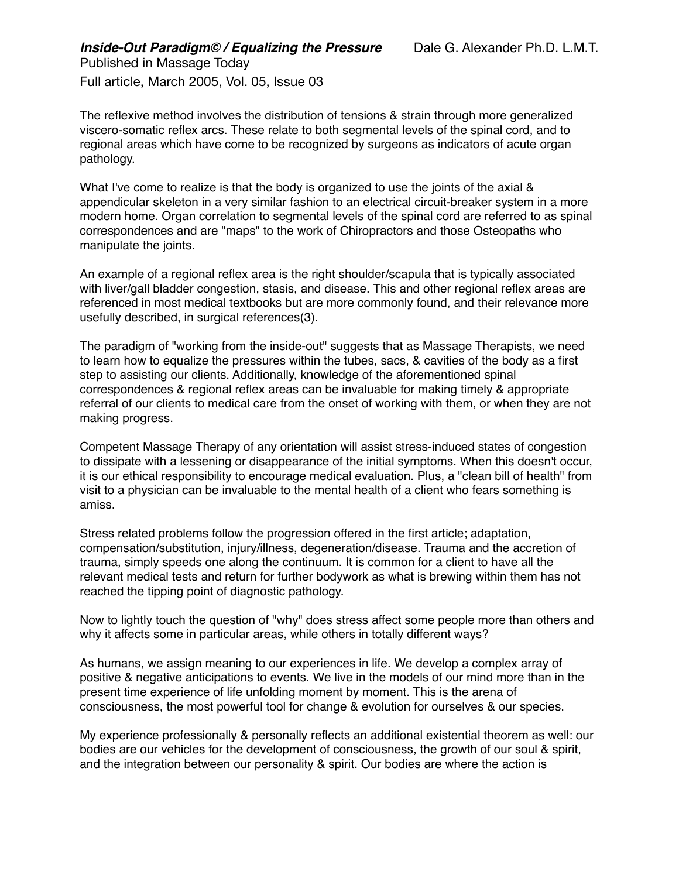Full article, March 2005, Vol. 05, Issue 03

The reflexive method involves the distribution of tensions & strain through more generalized viscero-somatic reflex arcs. These relate to both segmental levels of the spinal cord, and to regional areas which have come to be recognized by surgeons as indicators of acute organ pathology.

What I've come to realize is that the body is organized to use the joints of the axial & appendicular skeleton in a very similar fashion to an electrical circuit-breaker system in a more modern home. Organ correlation to segmental levels of the spinal cord are referred to as spinal correspondences and are "maps" to the work of Chiropractors and those Osteopaths who manipulate the joints.

An example of a regional reflex area is the right shoulder/scapula that is typically associated with liver/gall bladder congestion, stasis, and disease. This and other regional reflex areas are referenced in most medical textbooks but are more commonly found, and their relevance more usefully described, in surgical references(3).

The paradigm of "working from the inside-out" suggests that as Massage Therapists, we need to learn how to equalize the pressures within the tubes, sacs, & cavities of the body as a first step to assisting our clients. Additionally, knowledge of the aforementioned spinal correspondences & regional reflex areas can be invaluable for making timely & appropriate referral of our clients to medical care from the onset of working with them, or when they are not making progress.

Competent Massage Therapy of any orientation will assist stress-induced states of congestion to dissipate with a lessening or disappearance of the initial symptoms. When this doesn't occur, it is our ethical responsibility to encourage medical evaluation. Plus, a "clean bill of health" from visit to a physician can be invaluable to the mental health of a client who fears something is amiss.

Stress related problems follow the progression offered in the first article; adaptation, compensation/substitution, injury/illness, degeneration/disease. Trauma and the accretion of trauma, simply speeds one along the continuum. It is common for a client to have all the relevant medical tests and return for further bodywork as what is brewing within them has not reached the tipping point of diagnostic pathology.

Now to lightly touch the question of "why" does stress affect some people more than others and why it affects some in particular areas, while others in totally different ways?

As humans, we assign meaning to our experiences in life. We develop a complex array of positive & negative anticipations to events. We live in the models of our mind more than in the present time experience of life unfolding moment by moment. This is the arena of consciousness, the most powerful tool for change & evolution for ourselves & our species.

My experience professionally & personally reflects an additional existential theorem as well: our bodies are our vehicles for the development of consciousness, the growth of our soul & spirit, and the integration between our personality & spirit. Our bodies are where the action is